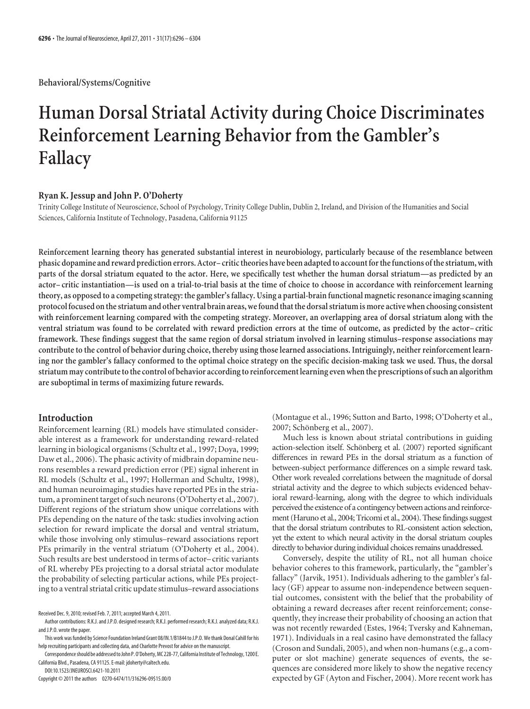# **Behavioral/Systems/Cognitive**

# **Human Dorsal Striatal Activity during Choice Discriminates Reinforcement Learning Behavior from the Gambler's Fallacy**

## **Ryan K. Jessup and John P. O'Doherty**

Trinity College Institute of Neuroscience, School of Psychology, Trinity College Dublin, Dublin 2, Ireland, and Division of the Humanities and Social Sciences, California Institute of Technology, Pasadena, California 91125

**Reinforcement learning theory has generated substantial interest in neurobiology, particularly because of the resemblance between** phasic dopamine and reward prediction errors. Actor-critic theories have been adapted to account for the functions of the striatum, with **parts of the dorsal striatum equated to the actor. Here, we specifically test whether the human dorsal striatum—as predicted by an actor– critic instantiation—is used on a trial-to-trial basis at the time of choice to choose in accordance with reinforcement learning theory, as opposed to a competing strategy: the gambler's fallacy. Using a partial-brain functional magnetic resonance imaging scanning protocolfocused onthe striatum and other ventral brain areas, wefoundthatthe dorsal striatum is more active when choosing consistent with reinforcement learning compared with the competing strategy. Moreover, an overlapping area of dorsal striatum along with the ventral striatum was found to be correlated with reward prediction errors at the time of outcome, as predicted by the actor– critic framework. These findings suggest that the same region of dorsal striatum involved in learning stimulus–response associations may contribute to the control of behavior during choice, thereby using those learned associations. Intriguingly, neither reinforcement learning nor the gambler's fallacy conformed to the optimal choice strategy on the specific decision-making task we used. Thus, the dorsal** striatum may contribute to the control of behavior according to reinforcement learning even when the prescriptions of such an algorithm **are suboptimal in terms of maximizing future rewards.**

# **Introduction**

Reinforcement learning (RL) models have stimulated considerable interest as a framework for understanding reward-related learning in biological organisms (Schultz et al., 1997; Doya, 1999; Daw et al., 2006). The phasic activity of midbrain dopamine neurons resembles a reward prediction error (PE) signal inherent in RL models (Schultz et al., 1997; Hollerman and Schultz, 1998), and human neuroimaging studies have reported PEs in the striatum, a prominent target of such neurons (O'Doherty et al., 2007). Different regions of the striatum show unique correlations with PEs depending on the nature of the task: studies involving action selection for reward implicate the dorsal and ventral striatum, while those involving only stimulus–reward associations report PEs primarily in the ventral striatum (O'Doherty et al., 2004). Such results are best understood in terms of actor– critic variants of RL whereby PEs projecting to a dorsal striatal actor modulate the probability of selecting particular actions, while PEs projecting to a ventral striatal critic update stimulus–reward associations

Correspondence should be addressed to John P. O'Doherty, MC 228-77, California Institute of Technology, 1200 E. California Blvd., Pasadena, CA 91125. E-mail: jdoherty@caltech.edu.

DOI:10.1523/JNEUROSCI.6421-10.2011

Copyright © 2011 the authors 0270-6474/11/316296-09\$15.00/0

(Montague et al., 1996; Sutton and Barto, 1998; O'Doherty et al., 2007; Schönberg et al., 2007).

Much less is known about striatal contributions in guiding action-selection itself. Schönberg et al. (2007) reported significant differences in reward PEs in the dorsal striatum as a function of between-subject performance differences on a simple reward task. Other work revealed correlations between the magnitude of dorsal striatal activity and the degree to which subjects evidenced behavioral reward-learning, along with the degree to which individuals perceived the existence of a contingency between actions and reinforcement (Haruno et al., 2004; Tricomi et al., 2004). These findings suggest that the dorsal striatum contributes to RL-consistent action selection, yet the extent to which neural activity in the dorsal striatum couples directly to behavior during individual choices remains unaddressed.

Conversely, despite the utility of RL, not all human choice behavior coheres to this framework, particularly, the "gambler's fallacy" (Jarvik, 1951). Individuals adhering to the gambler's fallacy (GF) appear to assume non-independence between sequential outcomes, consistent with the belief that the probability of obtaining a reward decreases after recent reinforcement; consequently, they increase their probability of choosing an action that was not recently rewarded (Estes, 1964; Tversky and Kahneman, 1971). Individuals in a real casino have demonstrated the fallacy (Croson and Sundali, 2005), and when non-humans (e.g., a computer or slot machine) generate sequences of events, the sequences are considered more likely to show the negative recency expected by GF (Ayton and Fischer, 2004). More recent work has

Received Dec. 9, 2010; revised Feb. 7, 2011; accepted March 4, 2011.

Author contributions: R.K.J. and J.P.O. designed research; R.K.J. performed research; R.K.J. analyzed data; R.K.J. and J.P.O. wrote the paper.

This work was funded by Science Foundation Ireland Grant 08/IN.1/B1844 to J.P.O. We thank Donal Cahill for his help recruiting participants and collecting data, and Charlotte Prevost for advice on the manuscript.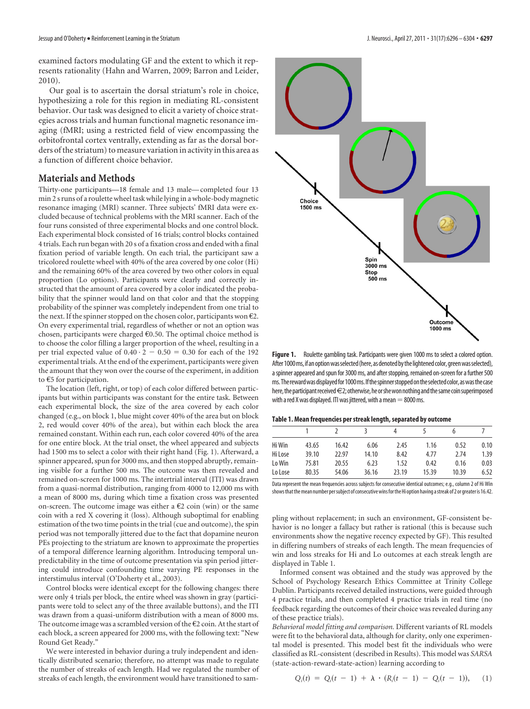examined factors modulating GF and the extent to which it represents rationality (Hahn and Warren, 2009; Barron and Leider, 2010).

Our goal is to ascertain the dorsal striatum's role in choice, hypothesizing a role for this region in mediating RL-consistent behavior. Our task was designed to elicit a variety of choice strategies across trials and human functional magnetic resonance imaging (fMRI; using a restricted field of view encompassing the orbitofrontal cortex ventrally, extending as far as the dorsal borders of the striatum) to measure variation in activity in this area as a function of different choice behavior.

# **Materials and Methods**

Thirty-one participants—18 female and 13 male— completed four 13 min 2 s runs of a roulette wheel task while lying in a whole-body magnetic resonance imaging (MRI) scanner. Three subjects' fMRI data were excluded because of technical problems with the MRI scanner. Each of the four runs consisted of three experimental blocks and one control block. Each experimental block consisted of 16 trials; control blocks contained 4 trials. Each run began with 20 s of a fixation cross and ended with a final fixation period of variable length. On each trial, the participant saw a tricolored roulette wheel with 40% of the area covered by one color (Hi) and the remaining 60% of the area covered by two other colors in equal proportion (Lo options). Participants were clearly and correctly instructed that the amount of area covered by a color indicated the probability that the spinner would land on that color and that the stopping probability of the spinner was completely independent from one trial to the next. If the spinner stopped on the chosen color, participants won  $\epsilon$ 2. On every experimental trial, regardless of whether or not an option was chosen, participants were charged €0.50. The optimal choice method is to choose the color filling a larger proportion of the wheel, resulting in a per trial expected value of  $0.40 \cdot 2 - 0.50 = 0.30$  for each of the 192 experimental trials. At the end of the experiment, participants were given the amount that they won over the course of the experiment, in addition to €5 for participation.

The location (left, right, or top) of each color differed between participants but within participants was constant for the entire task. Between each experimental block, the size of the area covered by each color changed (e.g., on block 1, blue might cover 40% of the area but on block 2, red would cover 40% of the area), but within each block the area remained constant. Within each run, each color covered 40% of the area for one entire block. At the trial onset, the wheel appeared and subjects had 1500 ms to select a color with their right hand (Fig. 1). Afterward, a spinner appeared, spun for 3000 ms, and then stopped abruptly, remaining visible for a further 500 ms. The outcome was then revealed and remained on-screen for 1000 ms. The intertrial interval (ITI) was drawn from a quasi-normal distribution, ranging from 4000 to 12,000 ms with a mean of 8000 ms, during which time a fixation cross was presented on-screen. The outcome image was either a  $E2$  coin (win) or the same coin with a red X covering it (loss). Although suboptimal for enabling estimation of the two time points in the trial (cue and outcome), the spin period was not temporally jittered due to the fact that dopamine neuron PEs projecting to the striatum are known to approximate the properties of a temporal difference learning algorithm. Introducing temporal unpredictability in the time of outcome presentation via spin period jittering could introduce confounding time varying PE responses in the interstimulus interval (O'Doherty et al., 2003).

Control blocks were identical except for the following changes: there were only 4 trials per block, the entire wheel was shown in gray (participants were told to select any of the three available buttons), and the ITI was drawn from a quasi-uniform distribution with a mean of 8000 ms. The outcome image was a scrambled version of the  $E2$  coin. At the start of each block, a screen appeared for 2000 ms, with the following text: "New Round Get Ready."

We were interested in behavior during a truly independent and identically distributed scenario; therefore, no attempt was made to regulate the number of streaks of each length. Had we regulated the number of streaks of each length, the environment would have transitioned to sam-



Figure 1. Roulette gambling task. Participants were given 1000 ms to select a colored option. After 1000 ms, if an option was selected (here, as denoted by the lightened color, green was selected), a spinner appeared and spun for 3000 ms, and after stopping, remained on-screen for a further 500 ms. The reward was displayed for 1000 ms. If the spinner stopped on the selected color, as was the case here, the participant received €2; otherwise, he or she won nothing and the same coin superimposed with a red X was displayed. ITI was jittered, with a mean  $=8000$  ms.

|  | Table 1. Mean frequencies per streak length, separated by outcome |  |
|--|-------------------------------------------------------------------|--|
|--|-------------------------------------------------------------------|--|

|         |       |       |       |       |       | h     |      |
|---------|-------|-------|-------|-------|-------|-------|------|
| Hi Win  | 43.65 | 16.42 | 6.06  | 2.45  | 1.16  | 0.52  | 0.10 |
| Hi Lose | 39.10 | 22.97 | 14.10 | 8.42  | 4.77  | 2.74  | 1.39 |
| Lo Win  | 75.81 | 20.55 | 6.23  | 1.52  | 0.42  | 0.16  | 0.03 |
| Lo Lose | 80.35 | 54.06 | 36.16 | 23.19 | 15.39 | 10.39 | 6.52 |

Data represent the mean frequencies across subjects for consecutive identical outcomes; e.g., column 2 of Hi Win shows that the mean number per subject of consecutive wins for the Hi option having a streak of 2 or greater is 16.42.

pling without replacement; in such an environment, GF-consistent behavior is no longer a fallacy but rather is rational (this is because such environments show the negative recency expected by GF). This resulted in differing numbers of streaks of each length. The mean frequencies of win and loss streaks for Hi and Lo outcomes at each streak length are displayed in Table 1.

Informed consent was obtained and the study was approved by the School of Psychology Research Ethics Committee at Trinity College Dublin. Participants received detailed instructions, were guided through 4 practice trials, and then completed 4 practice trials in real time (no feedback regarding the outcomes of their choice was revealed during any of these practice trials).

*Behavioral model fitting and comparison.* Different variants of RL models were fit to the behavioral data, although for clarity, only one experimental model is presented. This model best fit the individuals who were classified as RL-consistent (described in Results). This model was *SARSA* (state-action-reward-state-action) learning according to

$$
Q_i(t) = Q_i(t-1) + \lambda \cdot (R_i(t-1) - Q_i(t-1)), \quad (1)
$$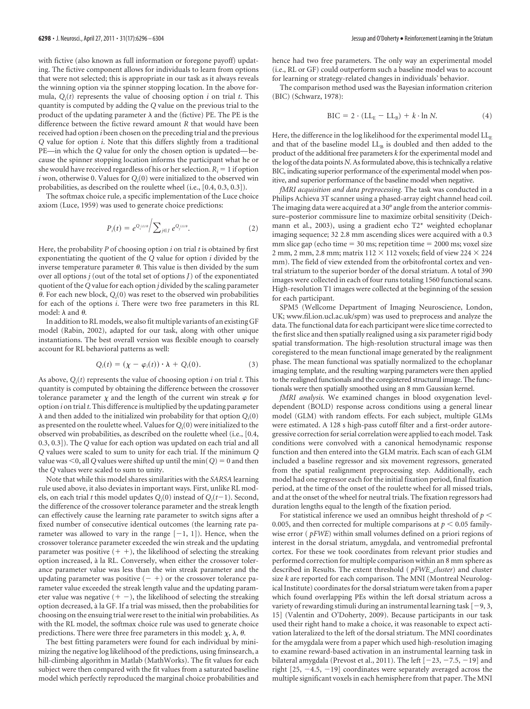with fictive (also known as full information or foregone payoff) updating. The fictive component allows for individuals to learn from options that were not selected; this is appropriate in our task as it always reveals the winning option via the spinner stopping location. In the above formula, *Qi* (*t*) represents the value of choosing option *i* on trial *t*. This quantity is computed by adding the *Q* value on the previous trial to the product of the updating parameter  $\lambda$  and the (fictive) PE. The PE is the difference between the fictive reward amount *R* that would have been received had option *i* been chosen on the preceding trial and the previous *Q* value for option *i*. Note that this differs slightly from a traditional PE—in which the *Q* value for only the chosen option is updated— because the spinner stopping location informs the participant what he or she would have received regardless of his or her selection.  $R_i = 1$  if option *i* won, otherwise 0. Values for  $Q_i(0)$  were initialized to the observed win probabilities, as described on the roulette wheel (i.e., [0.4, 0.3, 0.3]).

The softmax choice rule, a specific implementation of the Luce choice axiom (Luce, 1959) was used to generate choice predictions:

$$
P_i(t) = e^{Q_i(t)/\theta} \bigg| \sum_{j \in J} e^{Q_j(t)/\theta}.
$$
 (2)

Here, the probability *P* of choosing option *i* on trial *t* is obtained by first exponentiating the quotient of the *Q* value for option *i* divided by the inverse temperature parameter  $\theta$ . This value is then divided by the sum over all options *j* (out of the total set of options *J*) of the exponentiated quotient of the *Q* value for each option *j* divided by the scaling parameter  $\theta$ . For each new block,  $Q_i(0)$  was reset to the observed win probabilities for each of the options *i*. There were two free parameters in this RL model:  $\lambda$  and  $\theta$ .

In addition to RL models, we also fit multiple variants of an existing GF model (Rabin, 2002), adapted for our task, along with other unique instantiations. The best overall version was flexible enough to coarsely account for RL behavioral patterns as well:

$$
Q_i(t) = (\chi - \varphi_i(t)) \cdot \lambda + Q_i(0). \qquad (3)
$$

As above, *Qi* (*t*) represents the value of choosing option *i* on trial *t*. This quantity is computed by obtaining the difference between the crossover tolerance parameter  $\chi$  and the length of the current win streak  $\varphi$  for option *i* on trial *t*. This difference is multiplied by the updating parameter  $\lambda$  and then added to the initialized win probability for that option  $Q_i(0)$ as presented on the roulette wheel. Values for *Q*<sup>i</sup> (0) were initialized to the observed win probabilities, as described on the roulette wheel (i.e., [0.4, 0.3, 0.3]). The *Q* value for each option was updated on each trial and all *Q* values were scaled to sum to unity for each trial. If the minimum *Q* value was  $\leq$  0, all *Q* values were shifted up until the min(*Q*) = 0 and then the *Q* values were scaled to sum to unity.

Note that while this model shares similarities with the *SARSA* learning rule used above, it also deviates in important ways. First, unlike RL models, on each trial *t* this model updates  $Q_i(0)$  instead of  $Q_i(t-1)$ . Second, the difference of the crossover tolerance parameter and the streak length can effectively cause the learning rate parameter to switch signs after a fixed number of consecutive identical outcomes (the learning rate parameter was allowed to vary in the range  $[-1, 1]$ ). Hence, when the crossover tolerance parameter exceeded the win streak and the updating parameter was positive  $(+ +)$ , the likelihood of selecting the streaking option increased, a` la RL. Conversely, when either the crossover tolerance parameter value was less than the win streak parameter and the updating parameter was positive  $(- +)$  or the crossover tolerance parameter value exceeded the streak length value and the updating parameter value was negative  $( + - )$ , the likelihood of selecting the streaking option decreased, a` la GF. If a trial was missed, then the probabilities for choosing on the ensuing trial were reset to the initial win probabilities. As with the RL model, the softmax choice rule was used to generate choice predictions. There were three free parameters in this model:  $\chi$ ,  $\lambda$ ,  $\theta$ .

The best fitting parameters were found for each individual by minimizing the negative log likelihood of the predictions, using fminsearch, a hill-climbing algorithm in Matlab (MathWorks). The fit values for each subject were then compared with the fit values from a saturated baseline model which perfectly reproduced the marginal choice probabilities and hence had two free parameters. The only way an experimental model (i.e., RL or GF) could outperform such a baseline model was to account for learning or strategy-related changes in individuals' behavior.

The comparison method used was the Bayesian information criterion (BIC) (Schwarz, 1978):

$$
BIC = 2 \cdot (LL_E - LL_B) + k \cdot \ln N. \tag{4}
$$

Here, the difference in the log likelihood for the experimental model  $\text{LL}_\text{E}$ and that of the baseline model  $LL_B$  is doubled and then added to the product of the additional free parameters *k* for the experimental model and the log of the data points *N*. As formulated above, this is technically a relative BIC, indicating superior performance of the experimental model when positive, and superior performance of the baseline model when negative.

*fMRI acquisition and data preprocessing.* The task was conducted in a Philips Achieva 3T scanner using a phased-array eight channel head coil. The imaging data were acquired at a 30° angle from the anterior commissure–posterior commissure line to maximize orbital sensitivity (Deichmann et al., 2003), using a gradient echo T2\* weighted echoplanar imaging sequence; 32 2.8 mm ascending slices were acquired with a 0.3  $mm$  slice gap (echo time  $=$  30 ms; repetition time  $=$  2000 ms; voxel size 2 mm, 2 mm, 2.8 mm; matrix  $112 \times 112$  voxels; field of view  $224 \times 224$ mm). The field of view extended from the orbitofrontal cortex and ventral striatum to the superior border of the dorsal striatum. A total of 390 images were collected in each of four runs totaling 1560 functional scans. High-resolution T1 images were collected at the beginning of the session for each participant.

SPM5 (Wellcome Department of Imaging Neuroscience, London, UK; www.fil.ion.ucl.ac.uk/spm) was used to preprocess and analyze the data. The functional data for each participant were slice time corrected to the first slice and then spatially realigned using a six parameter rigid body spatial transformation. The high-resolution structural image was then coregistered to the mean functional image generated by the realignment phase. The mean functional was spatially normalized to the echoplanar imaging template, and the resulting warping parameters were then applied to the realigned functionals and the coregistered structural image. The functionals were then spatially smoothed using an 8 mm Gaussian kernel.

*fMRI analysis.* We examined changes in blood oxygenation leveldependent (BOLD) response across conditions using a general linear model (GLM) with random effects. For each subject, multiple GLMs were estimated. A 128 s high-pass cutoff filter and a first-order autoregressive correction for serial correlation were applied to each model. Task conditions were convolved with a canonical hemodynamic response function and then entered into the GLM matrix. Each scan of each GLM included a baseline regressor and six movement regressors, generated from the spatial realignment preprocessing step. Additionally, each model had one regressor each for the initial fixation period, final fixation period, at the time of the onset of the roulette wheel for all missed trials, and at the onset of the wheel for neutral trials. The fixation regressors had duration lengths equal to the length of the fixation period.

For statistical inference we used an omnibus height threshold of  $p <$ 0.005, and then corrected for multiple comparisons at  $p < 0.05$  familywise error ( *pFWE*) within small volumes defined on a priori regions of interest in the dorsal striatum, amygdala, and ventromedial prefrontal cortex. For these we took coordinates from relevant prior studies and performed correction for multiple comparison within an 8 mm sphere as described in Results. The extent threshold ( *pFWE\_cluster*) and cluster size *k* are reported for each comparison. The MNI (Montreal Neurological Institute) coordinates for the dorsal striatum were taken from a paper which found overlapping PEs within the left dorsal striatum across a variety of rewarding stimuli during an instrumental learning task  $[-9, 3, 3]$ 15] (Valentin and O'Doherty, 2009). Because participants in our task used their right hand to make a choice, it was reasonable to expect activation lateralized to the left of the dorsal striatum. The MNI coordinates for the amygdala were from a paper which used high-resolution imaging to examine reward-based activation in an instrumental learning task in bilateral amygdala (Prevost et al., 2011). The left  $[-23, -7.5, -19]$  and right  $[25, -4.5, -19]$  coordinates were separately averaged across the multiple significant voxels in each hemisphere from that paper. The MNI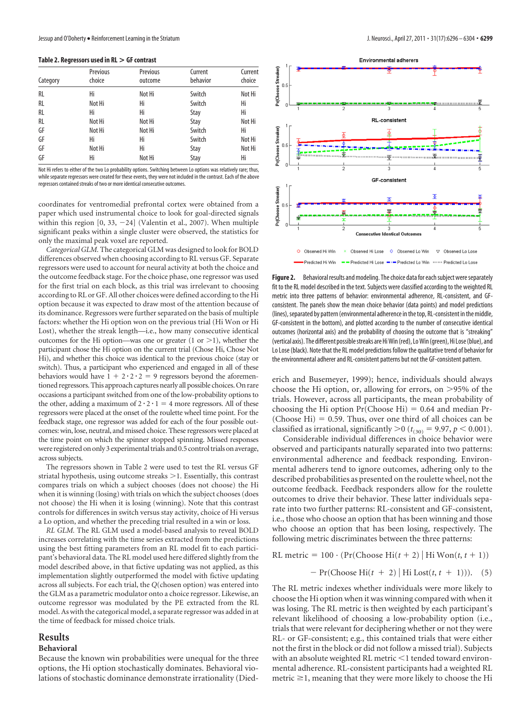#### **Table 2. Regressors used in RL > GF contrast**

| Category  | Previous<br>choice | Previous<br>outcome | Current<br>behavior | Current<br>choice |
|-----------|--------------------|---------------------|---------------------|-------------------|
| <b>RL</b> | Hi                 | Not Hi              | Switch              | Not Hi            |
| <b>RL</b> | Not Hi             | Hi                  | Switch              | Hi                |
| <b>RL</b> | Hi                 | Hi                  | Stay                | Hi                |
| <b>RL</b> | Not Hi             | Not Hi              | Stay                | Not Hi            |
| GF        | Not Hi             | Not Hi              | Switch              | Hi                |
| GF        | Hi                 | Hi                  | Switch              | Not Hi            |
| GF        | Not Hi             | Hi                  | Stay                | Not Hi            |
| GF        | Hi                 | Not Hi              | Stay                | Hi                |

Not Hi refers to either of the two Lo probability options. Switching between Lo options was relatively rare; thus, while separate regressors were created for these events, they were not included in the contrast. Each of the above regressors contained streaks of two or more identical consecutive outcomes.

coordinates for ventromedial prefrontal cortex were obtained from a paper which used instrumental choice to look for goal-directed signals within this region  $[0, 33, -24]$  (Valentin et al., 2007). When multiple significant peaks within a single cluster were observed, the statistics for only the maximal peak voxel are reported.

*Categorical GLM.* The categorical GLM was designed to look for BOLD differences observed when choosing according to RL versus GF. Separate regressors were used to account for neural activity at both the choice and the outcome feedback stage. For the choice phase, one regressor was used for the first trial on each block, as this trial was irrelevant to choosing according to RL or GF. All other choices were defined according to the Hi option because it was expected to draw most of the attention because of its dominance. Regressors were further separated on the basis of multiple factors: whether the Hi option won on the previous trial (Hi Won or Hi Lost), whether the streak length—i.e., how many consecutive identical outcomes for the Hi option—was one or greater  $(1 \text{ or } >1)$ , whether the participant chose the Hi option on the current trial (Chose Hi, Chose Not Hi), and whether this choice was identical to the previous choice (stay or switch). Thus, a participant who experienced and engaged in all of these behaviors would have  $1 + 2 \cdot 2 \cdot 2 = 9$  regressors beyond the aforementioned regressors. This approach captures nearly all possible choices. On rare occasions a participant switched from one of the low-probability options to the other, adding a maximum of  $2 \cdot 2 \cdot 1 = 4$  more regressors. All of these regressors were placed at the onset of the roulette wheel time point. For the feedback stage, one regressor was added for each of the four possible outcomes: win, lose, neutral, and missed choice. These regressors were placed at the time point on which the spinner stopped spinning. Missed responses were registered on only 3 experimental trials and 0.5 control trials on average, across subjects.

The regressors shown in Table 2 were used to test the RL versus GF striatal hypothesis, using outcome streaks  $>$  1. Essentially, this contrast compares trials on which a subject chooses (does not choose) the Hi when it is winning (losing) with trials on which the subject chooses (does not choose) the Hi when it is losing (winning). Note that this contrast controls for differences in switch versus stay activity, choice of Hi versus a Lo option, and whether the preceding trial resulted in a win or loss.

*RL GLM.* The RL GLM used a model-based analysis to reveal BOLD increases correlating with the time series extracted from the predictions using the best fitting parameters from an RL model fit to each participant's behavioral data. The RL model used here differed slightly from the model described above, in that fictive updating was not applied, as this implementation slightly outperformed the model with fictive updating across all subjects. For each trial, the *Q*(chosen option) was entered into the GLM as a parametric modulator onto a choice regressor. Likewise, an outcome regressor was modulated by the PE extracted from the RL model. As with the categorical model, a separate regressor was added in at the time of feedback for missed choice trials.

## **Results**

#### **Behavioral**

Because the known win probabilities were unequal for the three options, the Hi option stochastically dominates. Behavioral violations of stochastic dominance demonstrate irrationality (Died-



Figure 2. Behavioral results and modeling. The choice data for each subject were separately fit to the RL model described in the text. Subjects were classified according to the weighted RL metric into three patterns of behavior: environmental adherence, RL-consistent, and GFconsistent. The panels show the mean choice behavior (data points) and model predictions (lines), separated by pattern (environmental adherence in the top, RL-consistent in the middle, GF-consistent in the bottom), and plotted according to the number of consecutive identical outcomes (horizontal axis) and the probability of choosing the outcome that is "streaking" (vertical axis). The different possible streaks are Hi Win (red), Lo Win (green), Hi Lose (blue), and Lo Lose (black). Note that the RL model predictions follow the qualitative trend of behavior for the environmental adherer and RL-consistent patterns but not the GF-consistent pattern.

erich and Busemeyer, 1999); hence, individuals should always choose the Hi option, or, allowing for errors, on  $>95\%$  of the trials. However, across all participants, the mean probability of choosing the Hi option  $Pr(\text{Choose Hi}) = 0.64$  and median  $Pr(\text{Choose Hi}) = 0.64$  $(Choose Hi) = 0.59$ . Thus, over one third of all choices can be classified as irrational, significantly  $>$  0 ( $t_{(30)}$  = 9.97,  $p$  < 0.001).

Considerable individual differences in choice behavior were observed and participants naturally separated into two patterns: environmental adherence and feedback responding. Environmental adherers tend to ignore outcomes, adhering only to the described probabilities as presented on the roulette wheel, not the outcome feedback. Feedback responders allow for the roulette outcomes to drive their behavior. These latter individuals separate into two further patterns: RL-consistent and GF-consistent, i.e., those who choose an option that has been winning and those who choose an option that has been losing, respectively. The following metric discriminates between the three patterns:

RL metric =  $100 \cdot (Pr(Choose Hi(t + 2) | Hi Won(t, t + 1))$ 

$$
-\Pr(\text{Choose Hi}(t + 2) | \text{Hi Lost}(t, t + 1))).\tag{5}
$$

The RL metric indexes whether individuals were more likely to choose the Hi option when it was winning compared with when it was losing. The RL metric is then weighted by each participant's relevant likelihood of choosing a low-probability option (i.e., trials that were relevant for deciphering whether or not they were RL- or GF-consistent; e.g., this contained trials that were either not the first in the block or did not follow a missed trial). Subjects with an absolute weighted RL metric  $\leq$ 1 tended toward environmental adherence. RL-consistent participants had a weighted RL metric  $\geq$ 1, meaning that they were more likely to choose the Hi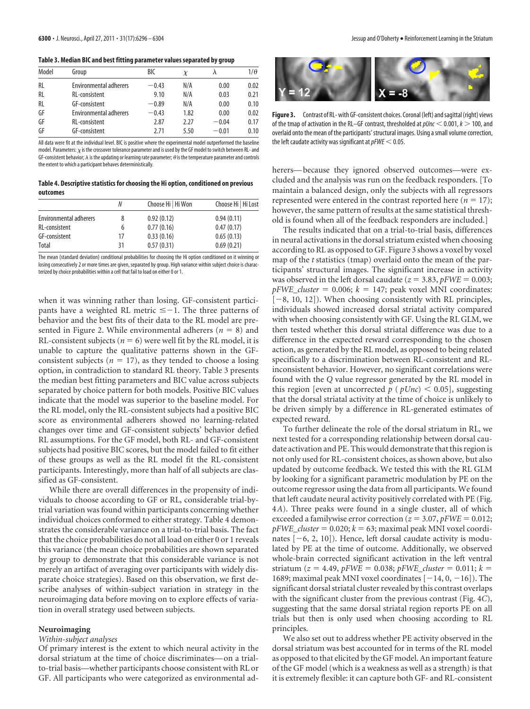#### **Table 3. Median BIC and best fitting parameter values separated by group**

| Model     | Group                         | BIC     | X    |         | 1/θ  |
|-----------|-------------------------------|---------|------|---------|------|
| RL        | <b>Environmental adherers</b> | $-0.43$ | N/A  | 0.00    | 0.02 |
| <b>RL</b> | RL-consistent                 | 9.10    | N/A  | 0.03    | 0.21 |
| RL        | GF-consistent                 | $-0.89$ | N/A  | 0.00    | 0.10 |
| GF        | <b>Environmental adherers</b> | $-0.43$ | 1.82 | 0.00    | 0.02 |
| GF        | RL-consistent                 | 2.87    | 2.27 | $-0.04$ | 0.17 |
| GF        | GF-consistent                 | 2.71    | 5.50 | $-0.01$ | 0.10 |

All data were fit at the individual level. BIC is positive where the experimental model outperformed the baseline model. Parameters:  $\chi$  is the crossover tolerance parameter and is used by the GF model to switch between RL- and GF-consistent behavior;  $\lambda$  is the updating or learning rate parameter;  $\theta$  is the temperature parameter and controls the extent to which a participant behaves deterministically.

**Table 4. Descriptive statistics for choosing the Hi option, conditioned on previous outcomes**

|                               | Ν  | Choose Hi   Hi Won | Choose Hi   Hi Lost |
|-------------------------------|----|--------------------|---------------------|
| <b>Environmental adherers</b> | 8  | 0.92(0.12)         | 0.94(0.11)          |
| RL-consistent                 | b  | 0.77(0.16)         | 0.47(0.17)          |
| GF-consistent                 | 17 | 0.33(0.16)         | 0.65(0.13)          |
| <b>Total</b>                  | 31 | 0.57(0.31)         | 0.69(0.21)          |

The mean (standard deviation) conditional probabilities for choosing the Hi option conditioned on it winning or losing consecutively 2 or more times are given, separated by group. High variance within subject choice is characterized by choice probabilities within a cell that fail to load on either 0 or 1.

when it was winning rather than losing. GF-consistent participants have a weighted RL metric  $\leq -1$ . The three patterns of behavior and the best fits of their data to the RL model are presented in Figure 2. While environmental adherers  $(n = 8)$  and RL-consistent subjects ( $n = 6$ ) were well fit by the RL model, it is unable to capture the qualitative patterns shown in the GFconsistent subjects ( $n = 17$ ), as they tended to choose a losing option, in contradiction to standard RL theory. Table 3 presents the median best fitting parameters and BIC value across subjects separated by choice pattern for both models. Positive BIC values indicate that the model was superior to the baseline model. For the RL model, only the RL-consistent subjects had a positive BIC score as environmental adherers showed no learning-related changes over time and GF-consistent subjects' behavior defied RL assumptions. For the GF model, both RL- and GF-consistent subjects had positive BIC scores, but the model failed to fit either of these groups as well as the RL model fit the RL-consistent participants. Interestingly, more than half of all subjects are classified as GF-consistent.

While there are overall differences in the propensity of individuals to choose according to GF or RL, considerable trial-bytrial variation was found within participants concerning whether individual choices conformed to either strategy. Table 4 demonstrates the considerable variance on a trial-to-trial basis. The fact that the choice probabilities do not all load on either 0 or 1 reveals this variance (the mean choice probabilities are shown separated by group to demonstrate that this considerable variance is not merely an artifact of averaging over participants with widely disparate choice strategies). Based on this observation, we first describe analyses of within-subject variation in strategy in the neuroimaging data before moving on to explore effects of variation in overall strategy used between subjects.

#### **Neuroimaging**

#### *Within-subject analyses*

Of primary interest is the extent to which neural activity in the dorsal striatum at the time of choice discriminates— on a trialto-trial basis—whether participants choose consistent with RL or GF. All participants who were categorized as environmental ad-



Figure 3. Contrast of RL- with GF-consistent choices. Coronal (left) and sagittal (right) views of the tmap of activation in the RL–GF contrast, thresholded at  $\nu$ Unc < 0.001,  $k$  > 100, and overlaid onto the mean of the participants'structural images. Using asmall volume correction, the left caudate activity was significant at  $pFWE < 0.05$ .

herers— because they ignored observed outcomes—were excluded and the analysis was run on the feedback responders. [To maintain a balanced design, only the subjects with all regressors represented were entered in the contrast reported here  $(n = 17)$ ; however, the same pattern of results at the same statistical threshold is found when all of the feedback responders are included.]

The results indicated that on a trial-to-trial basis, differences in neural activations in the dorsal striatum existed when choosing according to RL as opposed to GF. Figure 3 shows a voxel by voxel map of the *t* statistics (tmap) overlaid onto the mean of the participants' structural images. The significant increase in activity was observed in the left dorsal caudate ( $z = 3.83$ ,  $pFWE = 0.003$ ;  $pFWE_{\text{cluster}} = 0.006; k = 147; \text{ peak voxel}$  MNI coordinates:  $[-8, 10, 12]$ ). When choosing consistently with RL principles, individuals showed increased dorsal striatal activity compared with when choosing consistently with GF. Using the RL GLM, we then tested whether this dorsal striatal difference was due to a difference in the expected reward corresponding to the chosen action, as generated by the RL model, as opposed to being related specifically to a discrimination between RL-consistent and RLinconsistent behavior. However, no significant correlations were found with the *Q* value regressor generated by the RL model in this region [even at uncorrected  $p$  ( $pUnc$ )  $<$  0.05], suggesting that the dorsal striatal activity at the time of choice is unlikely to be driven simply by a difference in RL-generated estimates of expected reward.

To further delineate the role of the dorsal striatum in RL, we next tested for a corresponding relationship between dorsal caudate activation and PE. This would demonstrate that this region is not only used for RL-consistent choices, as shown above, but also updated by outcome feedback. We tested this with the RL GLM by looking for a significant parametric modulation by PE on the outcome regressor using the data from all participants. We found that left caudate neural activity positively correlated with PE (Fig. 4*A*). Three peaks were found in a single cluster, all of which exceeded a familywise error correction ( $z = 3.07$ ,  $pFWE = 0.012$ ;  $pFWE_{\text{}}cluster = 0.020; k = 63; \text{ maximal peak MNI voxel coordinate}$ nates  $[-6, 2, 10]$ ). Hence, left dorsal caudate activity is modulated by PE at the time of outcome. Additionally, we observed whole-brain corrected significant activation in the left ventral  $\text{striatum}$  ( $z = 4.49, pFWE = 0.038; pFWE\_cluster = 0.011; k = 1$ 1689; maximal peak MNI voxel coordinates  $[-14, 0, -16]$ ). The significant dorsal striatal cluster revealed by this contrast overlaps with the significant cluster from the previous contrast (Fig. 4*C*), suggesting that the same dorsal striatal region reports PE on all trials but then is only used when choosing according to RL principles.

We also set out to address whether PE activity observed in the dorsal striatum was best accounted for in terms of the RL model as opposed to that elicited by the GF model. An important feature of the GF model (which is a weakness as well as a strength) is that it is extremely flexible: it can capture both GF- and RL-consistent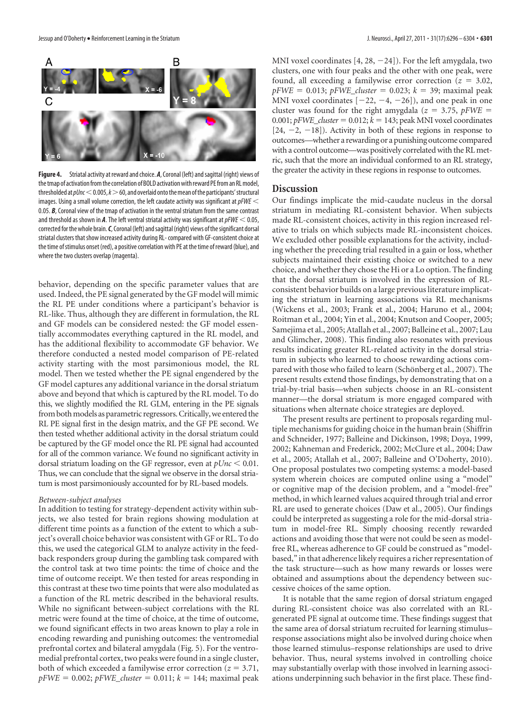

Figure 4. Striatal activity at reward and choice. A, Coronal (left) and sagittal (right) views of the tmap of activation from the correlation of BOLD activation with reward PE from an RL model, thresholded at  $\nu$ *Unc* $<$ 0.005, $k$  $>$ 60, and overlaid onto the mean of the participants' structural images. Using a small volume correction, the left caudate activity was significant at*pFWE* 0.05. *B*, Coronal view of the tmap of activation in the ventral striatum from the same contrast and threshold as shown in *A*. The left ventral striatal activity was significant at*pFWE* 0.05, corrected for the whole brain. C, Coronal (left) and sagittal (right) views of the significant dorsal striatal clusters that show increased activity during RL- compared with GF-consistent choice at the time ofstimulus onset (red), a positive correlation with PE at the time of reward (blue), and where the two clusters overlap (magenta).

behavior, depending on the specific parameter values that are used. Indeed, the PE signal generated by the GF model will mimic the RL PE under conditions where a participant's behavior is RL-like. Thus, although they are different in formulation, the RL and GF models can be considered nested: the GF model essentially accommodates everything captured in the RL model, and has the additional flexibility to accommodate GF behavior. We therefore conducted a nested model comparison of PE-related activity starting with the most parsimonious model, the RL model. Then we tested whether the PE signal engendered by the GF model captures any additional variance in the dorsal striatum above and beyond that which is captured by the RL model. To do this, we slightly modified the RL GLM, entering in the PE signals from both models as parametric regressors. Critically, we entered the RL PE signal first in the design matrix, and the GF PE second. We then tested whether additional activity in the dorsal striatum could be captured by the GF model once the RL PE signal had accounted for all of the common variance. We found no significant activity in dorsal striatum loading on the GF regressor, even at  $pUnc < 0.01$ . Thus, we can conclude that the signal we observe in the dorsal striatum is most parsimoniously accounted for by RL-based models.

## *Between-subject analyses*

In addition to testing for strategy-dependent activity within subjects, we also tested for brain regions showing modulation at different time points as a function of the extent to which a subject's overall choice behavior was consistent with GF or RL. To do this, we used the categorical GLM to analyze activity in the feedback responders group during the gambling task compared with the control task at two time points: the time of choice and the time of outcome receipt. We then tested for areas responding in this contrast at these two time points that were also modulated as a function of the RL metric described in the behavioral results. While no significant between-subject correlations with the RL metric were found at the time of choice, at the time of outcome, we found significant effects in two areas known to play a role in encoding rewarding and punishing outcomes: the ventromedial prefrontal cortex and bilateral amygdala (Fig. 5). For the ventromedial prefrontal cortex, two peaks were found in a single cluster, both of which exceeded a familywise error correction  $(z = 3.71,$  $pFWE = 0.002$ ;  $pFWE\_cluster = 0.011$ ;  $k = 144$ ; maximal peak

MNI voxel coordinates  $[4, 28, -24]$ ). For the left amygdala, two clusters, one with four peaks and the other with one peak, were found, all exceeding a familywise error correction  $(z = 3.02, ...)$  $pFWE = 0.013$ ;  $pFWE\_cluster = 0.023$ ;  $k = 39$ ; maximal peak MNI voxel coordinates  $[-22, -4, -26]$ , and one peak in one cluster was found for the right amygdala ( $z = 3.75$ ,  $pFWE =$  $0.001$ ;  $pFWE\_cluster = 0.012$ ;  $k = 143$ ; peak MNI voxel coordinates  $[24, -2, -18]$ ). Activity in both of these regions in response to outcomes—whether a rewarding or a punishing outcome compared with a control outcome—was positively correlated with the RL metric, such that the more an individual conformed to an RL strategy, the greater the activity in these regions in response to outcomes.

## **Discussion**

Our findings implicate the mid-caudate nucleus in the dorsal striatum in mediating RL-consistent behavior. When subjects made RL-consistent choices, activity in this region increased relative to trials on which subjects made RL-inconsistent choices. We excluded other possible explanations for the activity, including whether the preceding trial resulted in a gain or loss, whether subjects maintained their existing choice or switched to a new choice, and whether they chose the Hi or a Lo option. The finding that the dorsal striatum is involved in the expression of RLconsistent behavior builds on a large previous literature implicating the striatum in learning associations via RL mechanisms (Wickens et al., 2003; Frank et al., 2004; Haruno et al., 2004; Roitman et al., 2004; Yin et al., 2004; Knutson and Cooper, 2005; Samejima et al., 2005; Atallah et al., 2007; Balleine et al., 2007; Lau and Glimcher, 2008). This finding also resonates with previous results indicating greater RL-related activity in the dorsal striatum in subjects who learned to choose rewarding actions compared with those who failed to learn (Schönberg et al., 2007). The present results extend those findings, by demonstrating that on a trial-by-trial basis—when subjects choose in an RL-consistent manner—the dorsal striatum is more engaged compared with situations when alternate choice strategies are deployed.

The present results are pertinent to proposals regarding multiple mechanisms for guiding choice in the human brain (Shiffrin and Schneider, 1977; Balleine and Dickinson, 1998; Doya, 1999, 2002; Kahneman and Frederick, 2002; McClure et al., 2004; Daw et al., 2005; Atallah et al., 2007; Balleine and O'Doherty, 2010). One proposal postulates two competing systems: a model-based system wherein choices are computed online using a "model" or cognitive map of the decision problem, and a "model-free" method, in which learned values acquired through trial and error RL are used to generate choices (Daw et al., 2005). Our findings could be interpreted as suggesting a role for the mid-dorsal striatum in model-free RL. Simply choosing recently rewarded actions and avoiding those that were not could be seen as modelfree RL, whereas adherence to GF could be construed as "modelbased," in that adherence likely requires a richer representation of the task structure—such as how many rewards or losses were obtained and assumptions about the dependency between successive choices of the same option.

It is notable that the same region of dorsal striatum engaged during RL-consistent choice was also correlated with an RLgenerated PE signal at outcome time. These findings suggest that the same area of dorsal striatum recruited for learning stimulus– response associations might also be involved during choice when those learned stimulus–response relationships are used to drive behavior. Thus, neural systems involved in controlling choice may substantially overlap with those involved in learning associations underpinning such behavior in the first place. These find-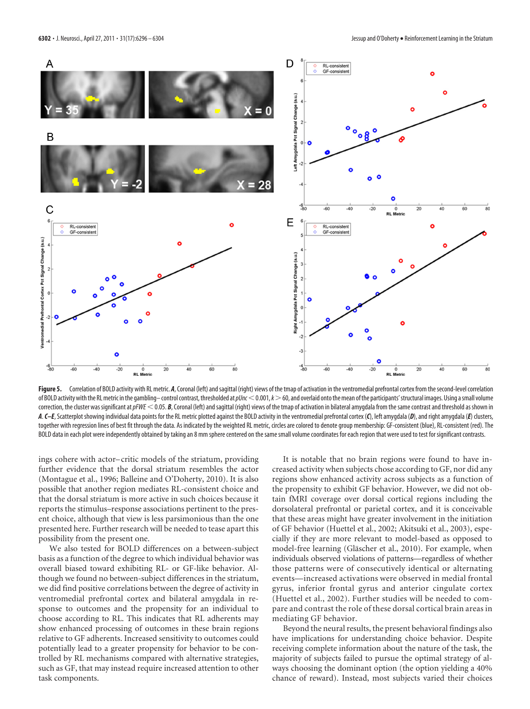

Figure 5. Correlation of BOLD activity with RL metric. *A*, Coronal (left) and sagittal (right) views of the tmap of activation in the ventromedial prefrontal cortex from the second-level correlation of BOLD activity with the RL metric in the gambling–control contrast, thresholded at pUnc < 0.001, k > 60, and overlaid onto the mean of the participants' structural images. Using a small volume correction, the cluster was significant at  $pFWE < 0.05$ . *B*, Coronal (left) and sagittal (right) views of the tmap of activation in bilateral amygdala from the same contrast and threshold as shown in A. C-E, Scatterplot showing individual data points for the RL metric plotted against the BOLD activity in the ventromedial prefrontal cortex (C), left amygdala (D), and right amygdala (E) clusters, together with regression lines of best fit through the data. As indicated by the weighted RL metric, circles are colored to denote group membership: GF-consistent (blue), RL-consistent (red). The BOLD data in each plot were independently obtained by taking an 8 mm sphere centered on the same small volume coordinates for each region that were used to test for significant contrasts.

ings cohere with actor– critic models of the striatum, providing further evidence that the dorsal striatum resembles the actor (Montague et al., 1996; Balleine and O'Doherty, 2010). It is also possible that another region mediates RL-consistent choice and that the dorsal striatum is more active in such choices because it reports the stimulus–response associations pertinent to the present choice, although that view is less parsimonious than the one presented here. Further research will be needed to tease apart this possibility from the present one.

We also tested for BOLD differences on a between-subject basis as a function of the degree to which individual behavior was overall biased toward exhibiting RL- or GF-like behavior. Although we found no between-subject differences in the striatum, we did find positive correlations between the degree of activity in ventromedial prefrontal cortex and bilateral amygdala in response to outcomes and the propensity for an individual to choose according to RL. This indicates that RL adherents may show enhanced processing of outcomes in these brain regions relative to GF adherents. Increased sensitivity to outcomes could potentially lead to a greater propensity for behavior to be controlled by RL mechanisms compared with alternative strategies, such as GF, that may instead require increased attention to other task components.

It is notable that no brain regions were found to have increased activity when subjects chose according to GF, nor did any regions show enhanced activity across subjects as a function of the propensity to exhibit GF behavior. However, we did not obtain fMRI coverage over dorsal cortical regions including the dorsolateral prefrontal or parietal cortex, and it is conceivable that these areas might have greater involvement in the initiation of GF behavior (Huettel et al., 2002; Akitsuki et al., 2003), especially if they are more relevant to model-based as opposed to model-free learning (Gläscher et al., 2010). For example, when individuals observed violations of patterns—regardless of whether those patterns were of consecutively identical or alternating events—increased activations were observed in medial frontal gyrus, inferior frontal gyrus and anterior cingulate cortex (Huettel et al., 2002). Further studies will be needed to compare and contrast the role of these dorsal cortical brain areas in mediating GF behavior.

Beyond the neural results, the present behavioral findings also have implications for understanding choice behavior. Despite receiving complete information about the nature of the task, the majority of subjects failed to pursue the optimal strategy of always choosing the dominant option (the option yielding a 40% chance of reward). Instead, most subjects varied their choices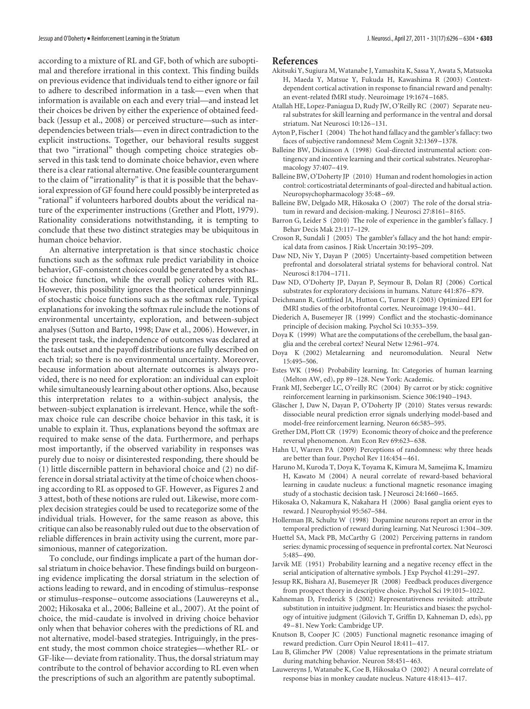according to a mixture of RL and GF, both of which are suboptimal and therefore irrational in this context. This finding builds on previous evidence that individuals tend to either ignore or fail to adhere to described information in a task— even when that information is available on each and every trial—and instead let their choices be driven by either the experience of obtained feedback (Jessup et al., 2008) or perceived structure—such as interdependencies between trials— even in direct contradiction to the explicit instructions. Together, our behavioral results suggest that two "irrational" though competing choice strategies observed in this task tend to dominate choice behavior, even where there is a clear rational alternative. One feasible counterargument to the claim of "irrationality" is that it is possible that the behavioral expression of GF found here could possibly be interpreted as "rational" if volunteers harbored doubts about the veridical nature of the experimenter instructions (Grether and Plott, 1979). Rationality considerations notwithstanding, it is tempting to conclude that these two distinct strategies may be ubiquitous in human choice behavior.

An alternative interpretation is that since stochastic choice functions such as the softmax rule predict variability in choice behavior, GF-consistent choices could be generated by a stochastic choice function, while the overall policy coheres with RL. However, this possibility ignores the theoretical underpinnings of stochastic choice functions such as the softmax rule. Typical explanations for invoking the softmax rule include the notions of environmental uncertainty, exploration, and between-subject analyses (Sutton and Barto, 1998; Daw et al., 2006). However, in the present task, the independence of outcomes was declared at the task outset and the payoff distributions are fully described on each trial; so there is no environmental uncertainty. Moreover, because information about alternate outcomes is always provided, there is no need for exploration: an individual can exploit while simultaneously learning about other options. Also, because this interpretation relates to a within-subject analysis, the between-subject explanation is irrelevant. Hence, while the softmax choice rule can describe choice behavior in this task, it is unable to explain it. Thus, explanations beyond the softmax are required to make sense of the data. Furthermore, and perhaps most importantly, if the observed variability in responses was purely due to noisy or disinterested responding, there should be (1) little discernible pattern in behavioral choice and (2) no difference in dorsal striatal activity at the time of choice when choosing according to RL as opposed to GF. However, as Figures 2 and 3 attest, both of these notions are ruled out. Likewise, more complex decision strategies could be used to recategorize some of the individual trials. However, for the same reason as above, this critique can also be reasonably ruled out due to the observation of reliable differences in brain activity using the current, more parsimonious, manner of categorization.

To conclude, our findings implicate a part of the human dorsal striatum in choice behavior. These findings build on burgeoning evidence implicating the dorsal striatum in the selection of actions leading to reward, and in encoding of stimulus–response or stimulus–response– outcome associations (Lauwereyns et al., 2002; Hikosaka et al., 2006; Balleine et al., 2007). At the point of choice, the mid-caudate is involved in driving choice behavior only when that behavior coheres with the predictions of RL and not alternative, model-based strategies. Intriguingly, in the present study, the most common choice strategies—whether RL- or GF-like— deviate from rationality. Thus, the dorsal striatum may contribute to the control of behavior according to RL even when the prescriptions of such an algorithm are patently suboptimal.

## **References**

- Akitsuki Y, Sugiura M, Watanabe J, Yamashita K, Sassa Y, Awata S, Matsuoka H, Maeda Y, Matsue Y, Fukuda H, Kawashima R (2003) Contextdependent cortical activation in response to financial reward and penalty: an event-related fMRI study. Neuroimage 19:1674 –1685.
- Atallah HE, Lopez-Paniagua D, Rudy JW, O'Reilly RC (2007) Separate neural substrates for skill learning and performance in the ventral and dorsal striatum. Nat Neurosci 10:126 –131.
- Ayton P, Fischer I (2004) The hot hand fallacy and the gambler's fallacy: two faces of subjective randomness? Mem Cognit 32:1369 –1378.
- Balleine BW, Dickinson A (1998) Goal-directed instrumental action: contingency and incentive learning and their cortical substrates. Neuropharmacology 37:407– 419.
- Balleine BW, O'Doherty JP (2010) Human and rodent homologies in action control: corticostriatal determinants of goal-directed and habitual action. Neuropsychopharmacology 35:48 – 69.
- Balleine BW, Delgado MR, Hikosaka O (2007) The role of the dorsal striatum in reward and decision-making. J Neurosci 27:8161-8165.
- Barron G, Leider S (2010) The role of experience in the gambler's fallacy. J Behav Decis Mak 23:117–129.
- Croson R, Sundali J (2005) The gambler's fallacy and the hot hand: empirical data from casinos. J Risk Uncertain 30:195–209.
- Daw ND, Niv Y, Dayan P (2005) Uncertainty-based competition between prefrontal and dorsolateral striatal systems for behavioral control. Nat Neurosci 8:1704 –1711.
- Daw ND, O'Doherty JP, Dayan P, Seymour B, Dolan RJ (2006) Cortical substrates for exploratory decisions in humans. Nature 441:876 – 879.
- Deichmann R, Gottfried JA, Hutton C, Turner R (2003) Optimized EPI for fMRI studies of the orbitofrontal cortex. Neuroimage 19:430 – 441.
- Diederich A, Busemeyer JR (1999) Conflict and the stochastic-dominance principle of decision making. Psychol Sci 10:353–359.
- Doya K (1999) What are the computations of the cerebellum, the basal ganglia and the cerebral cortex? Neural Netw 12:961–974.
- Doya K (2002) Metalearning and neuromodulation. Neural Netw 15:495–506.
- Estes WK (1964) Probability learning. In: Categories of human learning (Melton AW, ed), pp 89 –128. New York: Academic.
- Frank MJ, Seeberger LC, O'reilly RC (2004) By carrot or by stick: cognitive reinforcement learning in parkinsonism. Science 306:1940 –1943.
- Gläscher J, Daw N, Dayan P, O'Doherty JP (2010) States versus rewards: dissociable neural prediction error signals underlying model-based and model-free reinforcement learning. Neuron 66:585–595.
- Grether DM, Plott CR (1979) Economic theory of choice and the preference reversal phenomenon. Am Econ Rev 69:623– 638.
- Hahn U, Warren PA (2009) Perceptions of randomness: why three heads are better than four. Psychol Rev 116:454 – 461.
- Haruno M, Kuroda T, Doya K, Toyama K, Kimura M, Samejima K, Imamizu H, Kawato M (2004) A neural correlate of reward-based behavioral learning in caudate nucleus: a functional magnetic resonance imaging study of a stochastic decision task. J Neurosci 24:1660 –1665.
- Hikosaka O, Nakamura K, Nakahara H (2006) Basal ganglia orient eyes to reward. J Neurophysiol 95:567–584.
- Hollerman JR, Schultz W (1998) Dopamine neurons report an error in the temporal prediction of reward during learning. Nat Neurosci 1:304 –309.
- Huettel SA, Mack PB, McCarthy G (2002) Perceiving patterns in random series: dynamic processing of sequence in prefrontal cortex. Nat Neurosci 5:485– 490.
- Jarvik ME (1951) Probability learning and a negative recency effect in the serial anticipation of alternative symbols. J Exp Psychol 41:291–297.
- Jessup RK, Bishara AJ, Busemeyer JR (2008) Feedback produces divergence from prospect theory in descriptive choice. Psychol Sci 19:1015–1022.
- Kahneman D, Frederick S (2002) Representativeness revisited: attribute substitution in intuitive judgment. In: Heuristics and biases: the psychology of intuitive judgment (Gilovich T, Griffin D, Kahneman D, eds), pp 49 – 81. New York: Cambridge UP.
- Knutson B, Cooper JC (2005) Functional magnetic resonance imaging of reward prediction. Curr Opin Neurol 18:411-417.
- Lau B, Glimcher PW (2008) Value representations in the primate striatum during matching behavior. Neuron 58:451– 463.
- Lauwereyns J, Watanabe K, Coe B, Hikosaka O (2002) A neural correlate of response bias in monkey caudate nucleus. Nature 418:413– 417.